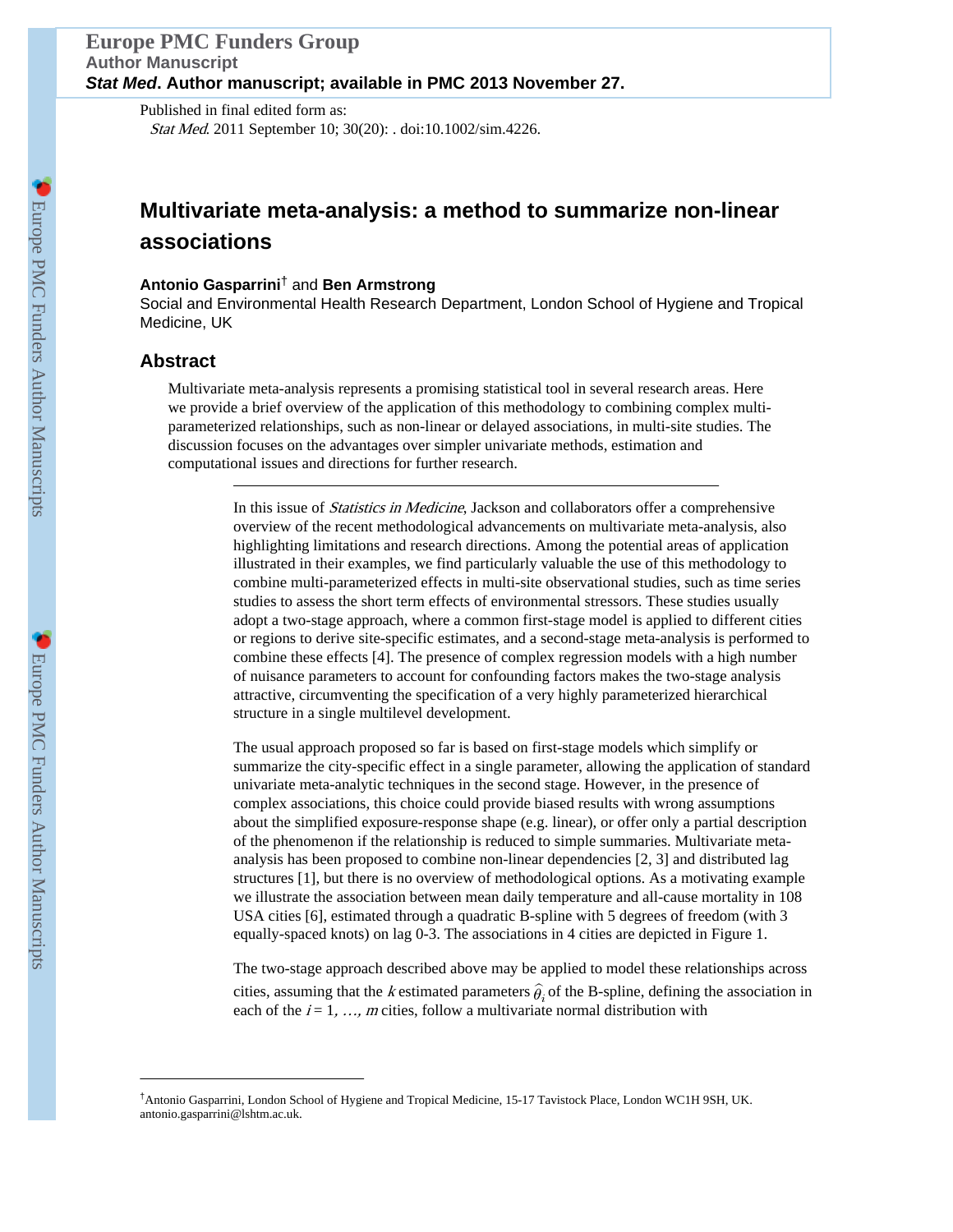Published in final edited form as: Stat Med. 2011 September 10; 30(20): . doi:10.1002/sim.4226.

# **Multivariate meta-analysis: a method to summarize non-linear associations**

## **Antonio Gasparrini**† and **Ben Armstrong**

Social and Environmental Health Research Department, London School of Hygiene and Tropical Medicine, UK

#### **Abstract**

Multivariate meta-analysis represents a promising statistical tool in several research areas. Here we provide a brief overview of the application of this methodology to combining complex multiparameterized relationships, such as non-linear or delayed associations, in multi-site studies. The discussion focuses on the advantages over simpler univariate methods, estimation and computational issues and directions for further research.

> In this issue of Statistics in Medicine, Jackson and collaborators offer a comprehensive overview of the recent methodological advancements on multivariate meta-analysis, also highlighting limitations and research directions. Among the potential areas of application illustrated in their examples, we find particularly valuable the use of this methodology to combine multi-parameterized effects in multi-site observational studies, such as time series studies to assess the short term effects of environmental stressors. These studies usually adopt a two-stage approach, where a common first-stage model is applied to different cities or regions to derive site-specific estimates, and a second-stage meta-analysis is performed to combine these effects [4]. The presence of complex regression models with a high number of nuisance parameters to account for confounding factors makes the two-stage analysis attractive, circumventing the specification of a very highly parameterized hierarchical structure in a single multilevel development.

> The usual approach proposed so far is based on first-stage models which simplify or summarize the city-specific effect in a single parameter, allowing the application of standard univariate meta-analytic techniques in the second stage. However, in the presence of complex associations, this choice could provide biased results with wrong assumptions about the simplified exposure-response shape (e.g. linear), or offer only a partial description of the phenomenon if the relationship is reduced to simple summaries. Multivariate metaanalysis has been proposed to combine non-linear dependencies [2, 3] and distributed lag structures [1], but there is no overview of methodological options. As a motivating example we illustrate the association between mean daily temperature and all-cause mortality in 108 USA cities [6], estimated through a quadratic B-spline with 5 degrees of freedom (with 3 equally-spaced knots) on lag 0-3. The associations in 4 cities are depicted in Figure 1.

> The two-stage approach described above may be applied to model these relationships across cities, assuming that the k estimated parameters  $\hat{\theta}_i$  of the B-spline, defining the association in each of the  $i = 1, \ldots, m$  cities, follow a multivariate normal distribution with

<sup>†</sup>Antonio Gasparrini, London School of Hygiene and Tropical Medicine, 15-17 Tavistock Place, London WC1H 9SH, UK. antonio.gasparrini@lshtm.ac.uk.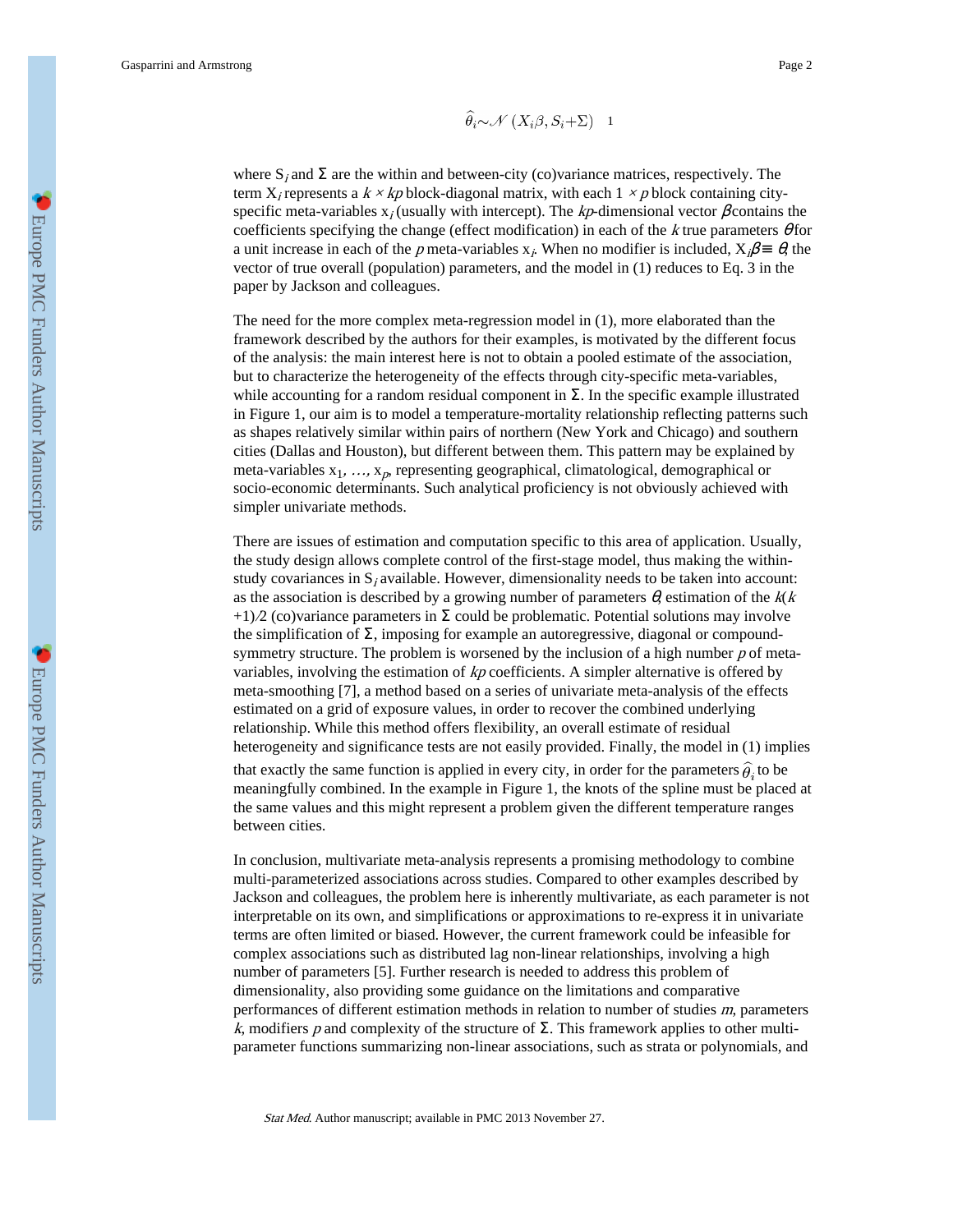$$
\widehat{\theta}_i \sim \mathcal{N}(X_i \beta, S_i + \Sigma)
$$
 1

where  $S_i$  and are the within and between-city (co)variance matrices, respectively. The term  $X_i$  represents a  $k \times kp$  block-diagonal matrix, with each  $1 \times p$  block containing cityspecific meta-variables  $x_i$  (usually with intercept). The *kp*-dimensional vector contains the coefficients specifying the change (effect modification) in each of the k true parameters for a unit increase in each of the p meta-variables  $x_i$ . When no modifier is included,  $X_i$ , the vector of true overall (population) parameters, and the model in (1) reduces to Eq. 3 in the paper by Jackson and colleagues.

The need for the more complex meta-regression model in (1), more elaborated than the framework described by the authors for their examples, is motivated by the different focus of the analysis: the main interest here is not to obtain a pooled estimate of the association, but to characterize the heterogeneity of the effects through city-specific meta-variables, while accounting for a random residual component in . In the specific example illustrated in Figure 1, our aim is to model a temperature-mortality relationship reflecting patterns such as shapes relatively similar within pairs of northern (New York and Chicago) and southern cities (Dallas and Houston), but different between them. This pattern may be explained by meta-variables  $x_1$ , ...,  $x_p$ , representing geographical, climatological, demographical or socio-economic determinants. Such analytical proficiency is not obviously achieved with simpler univariate methods.

There are issues of estimation and computation specific to this area of application. Usually, the study design allows complete control of the first-stage model, thus making the withinstudy covariances in  $S_i$  available. However, dimensionality needs to be taken into account: as the association is described by a growing number of parameters , estimation of the  $k(k)$  $+1/2$  (co)variance parameters in could be problematic. Potential solutions may involve the simplification of , imposing for example an autoregressive, diagonal or compoundsymmetry structure. The problem is worsened by the inclusion of a high number  $p$  of metavariables, involving the estimation of kp coefficients. A simpler alternative is offered by meta-smoothing [7], a method based on a series of univariate meta-analysis of the effects estimated on a grid of exposure values, in order to recover the combined underlying relationship. While this method offers flexibility, an overall estimate of residual heterogeneity and significance tests are not easily provided. Finally, the model in (1) implies that exactly the same function is applied in every city, in order for the parameters  $\hat{\theta}_i$  to be meaningfully combined. In the example in Figure 1, the knots of the spline must be placed at the same values and this might represent a problem given the different temperature ranges between cities.

In conclusion, multivariate meta-analysis represents a promising methodology to combine multi-parameterized associations across studies. Compared to other examples described by Jackson and colleagues, the problem here is inherently multivariate, as each parameter is not interpretable on its own, and simplifications or approximations to re-express it in univariate terms are often limited or biased. However, the current framework could be infeasible for complex associations such as distributed lag non-linear relationships, involving a high number of parameters [5]. Further research is needed to address this problem of dimensionality, also providing some guidance on the limitations and comparative performances of different estimation methods in relation to number of studies m, parameters  $k$ , modifiers p and complexity of the structure of  $\,$ . This framework applies to other multiparameter functions summarizing non-linear associations, such as strata or polynomials, and

Stat Med. Author manuscript; available in PMC 2013 November 27.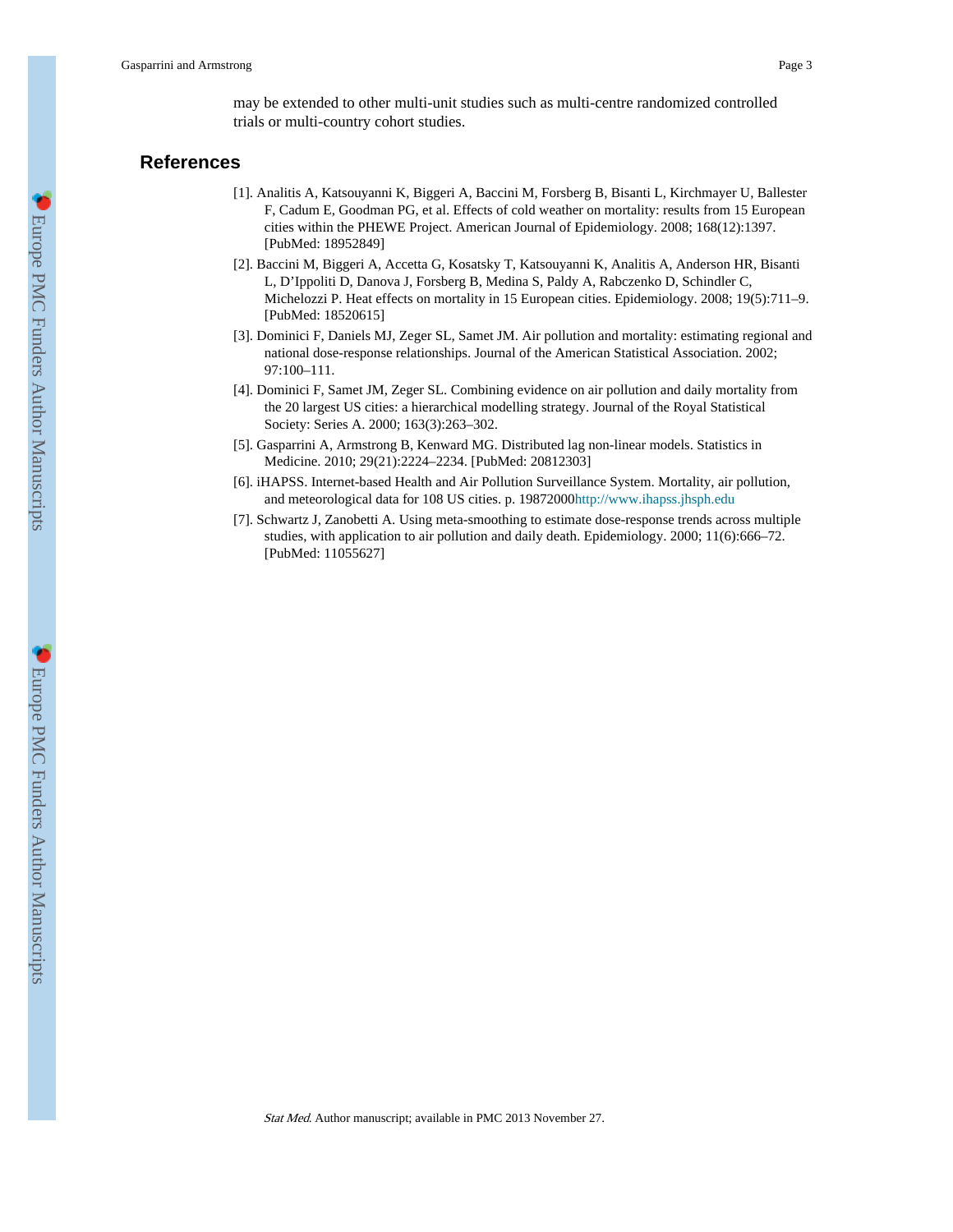may be extended to other multi-unit studies such as multi-centre randomized controlled trials or multi-country cohort studies.

#### **References**

- [1]. Analitis A, Katsouyanni K, Biggeri A, Baccini M, Forsberg B, Bisanti L, Kirchmayer U, Ballester F, Cadum E, Goodman PG, et al. Effects of cold weather on mortality: results from 15 European cities within the PHEWE Project. American Journal of Epidemiology. 2008; 168(12):1397. [PubMed: 18952849]
- [2]. Baccini M, Biggeri A, Accetta G, Kosatsky T, Katsouyanni K, Analitis A, Anderson HR, Bisanti L, D'Ippoliti D, Danova J, Forsberg B, Medina S, Paldy A, Rabczenko D, Schindler C, Michelozzi P. Heat effects on mortality in 15 European cities. Epidemiology. 2008; 19(5):711–9. [PubMed: 18520615]
- [3]. Dominici F, Daniels MJ, Zeger SL, Samet JM. Air pollution and mortality: estimating regional and national dose-response relationships. Journal of the American Statistical Association. 2002; 97:100–111.
- [4]. Dominici F, Samet JM, Zeger SL. Combining evidence on air pollution and daily mortality from the 20 largest US cities: a hierarchical modelling strategy. Journal of the Royal Statistical Society: Series A. 2000; 163(3):263–302.
- [5]. Gasparrini A, Armstrong B, Kenward MG. Distributed lag non-linear models. Statistics in Medicine. 2010; 29(21):2224–2234. [PubMed: 20812303]
- [6]. iHAPSS. Internet-based Health and Air Pollution Surveillance System. Mortality, air pollution, and meteorological data for 108 US cities. p. 1987200[0http://www.ihapss.jhsph.edu](http://www.ihapss.jhsph.edu)
- [7]. Schwartz J, Zanobetti A. Using meta-smoothing to estimate dose-response trends across multiple studies, with application to air pollution and daily death. Epidemiology. 2000; 11(6):666–72. [PubMed: 11055627]